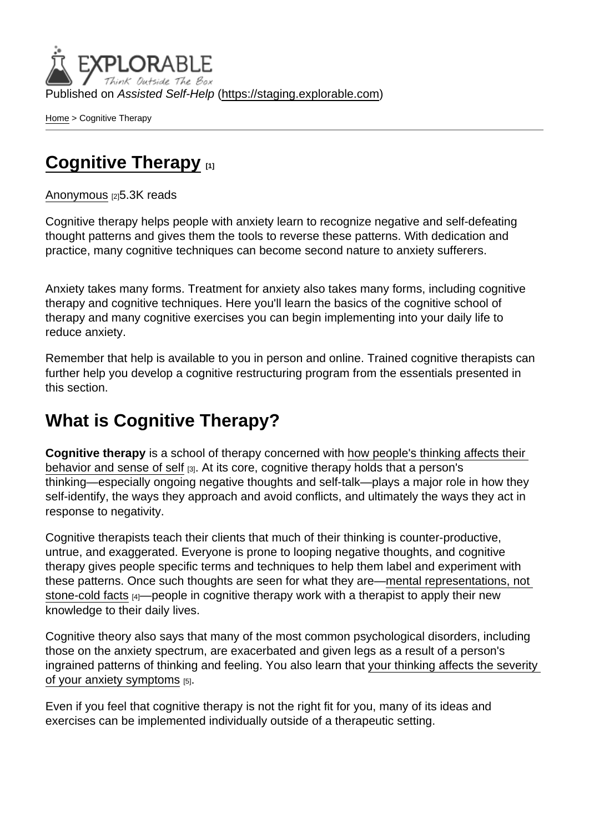Published on Assisted Self-Help [\(https://staging.explorable.com](https://staging.explorable.com))

[Home](https://staging.explorable.com/en) > Cognitive Therapy

## [Cognitive Therapy](https://staging.explorable.com/en/e/cognitive-therapy) [1]

[Anonymous](https://staging.explorable.com/en/users/grharriman) [2]5.3K reads

Cognitive therapy helps people with anxiety learn to recognize negative and self-defeating thought patterns and gives them the tools to reverse these patterns. With dedication and practice, many cognitive techniques can become second nature to anxiety sufferers.

Anxiety takes many forms. Treatment for anxiety also takes many forms, including cognitive therapy and cognitive techniques. Here you'll learn the basics of the cognitive school of therapy and many cognitive exercises you can begin implementing into your daily life to reduce anxiety.

Remember that help is available to you in person and online. Trained cognitive therapists can further help you develop a cognitive restructuring program from the essentials presented in this section.

## What is Cognitive Therapy?

Cognitive therapy is a school of therapy concerned with [how people's thinking affects their](http://psychcentral.com/lib/about-cognitive-psychotherapy/)  [behavior and sense of self](http://psychcentral.com/lib/about-cognitive-psychotherapy/) [3]. At its core, cognitive therapy holds that a person's thinking—especially ongoing negative thoughts and self-talk—plays a major role in how they self-identify, the ways they approach and avoid conflicts, and ultimately the ways they act in response to negativity.

Cognitive therapists teach their clients that much of their thinking is counter-productive, untrue, and exaggerated. Everyone is prone to looping negative thoughts, and cognitive therapy gives people specific terms and techniques to help them label and experiment with these patterns. Once such thoughts are seen for what they are[—mental representations, not](http://psychologyinfo.com/depression/cognitive-factors.html)  [stone-cold facts](http://psychologyinfo.com/depression/cognitive-factors.html) [4]—people in cognitive therapy work with a therapist to apply their new knowledge to their daily lives.

Cognitive theory also says that many of the most common psychological disorders, including those on the anxiety spectrum, are exacerbated and given legs as a result of a person's ingrained patterns of thinking and feeling. You also learn that [your thinking affects the severity](http://www.apa.org/helpcenter/anxiety-treatment.aspx)  [of your anxiety symptoms](http://www.apa.org/helpcenter/anxiety-treatment.aspx) [5].

Even if you feel that cognitive therapy is not the right fit for you, many of its ideas and exercises can be implemented individually outside of a therapeutic setting.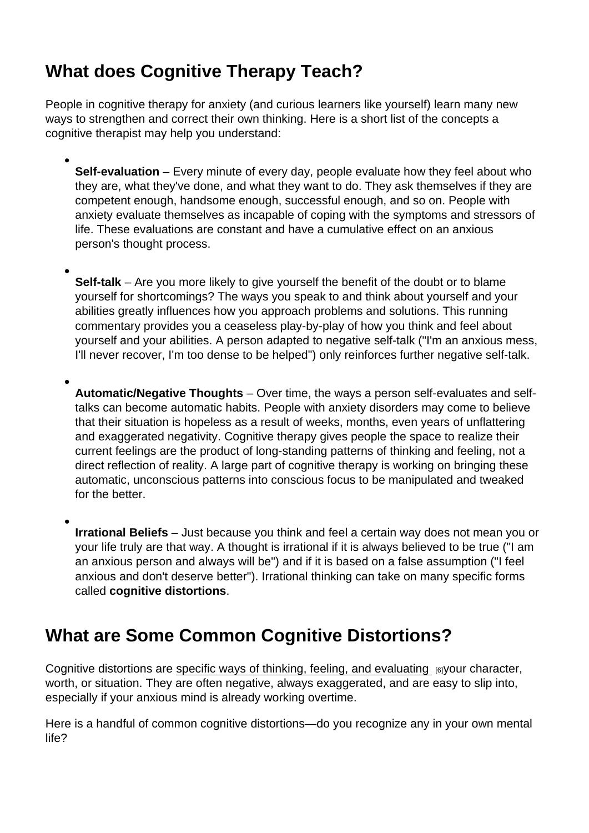# What does Cognitive Therapy Teach?

People in cognitive therapy for anxiety (and curious learners like yourself) learn many new ways to strengthen and correct their own thinking. Here is a short list of the concepts a cognitive therapist may help you understand:

- Self-evaluation Every minute of every day, people evaluate how they feel about who they are, what they've done, and what they want to do. They ask themselves if they are competent enough, handsome enough, successful enough, and so on. People with anxiety evaluate themselves as incapable of coping with the symptoms and stressors of life. These evaluations are constant and have a cumulative effect on an anxious person's thought process.
- Self-talk Are you more likely to give yourself the benefit of the doubt or to blame yourself for shortcomings? The ways you speak to and think about yourself and your abilities greatly influences how you approach problems and solutions. This running commentary provides you a ceaseless play-by-play of how you think and feel about yourself and your abilities. A person adapted to negative self-talk ("I'm an anxious mess, I'll never recover, I'm too dense to be helped") only reinforces further negative self-talk.
- Automatic/Negative Thoughts Over time, the ways a person self-evaluates and selftalks can become automatic habits. People with anxiety disorders may come to believe that their situation is hopeless as a result of weeks, months, even years of unflattering and exaggerated negativity. Cognitive therapy gives people the space to realize their current feelings are the product of long-standing patterns of thinking and feeling, not a direct reflection of reality. A large part of cognitive therapy is working on bringing these automatic, unconscious patterns into conscious focus to be manipulated and tweaked for the better.
- Irrational Beliefs Just because you think and feel a certain way does not mean you or your life truly are that way. A thought is irrational if it is always believed to be true ("I am an anxious person and always will be") and if it is based on a false assumption ("I feel anxious and don't deserve better"). Irrational thinking can take on many specific forms called cognitive distortions .

# What are Some Common Cognitive Distortions?

Cognitive distortions are [specific ways of thinking, feeling, and evaluating](http://psychcentral.com/lib/15-common-cognitive-distortions/)  $_{[6]}$ your character, worth, or situation. They are often negative, always exaggerated, and are easy to slip into, especially if your anxious mind is already working overtime.

Here is a handful of common cognitive distortions—do you recognize any in your own mental life?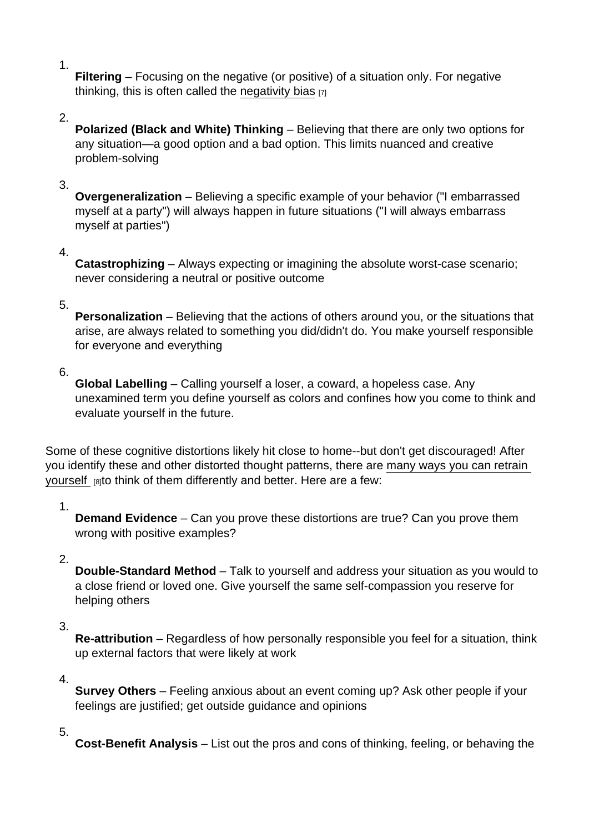Filtering – Focusing on the negative (or positive) of a situation only. For negative thinking, this is often called the [negativity bias](http://skepdic.com/negativitybias.html)  $[7]$ 

#### 2.

1.

Polarized (Black and White) Thinking – Believing that there are only two options for any situation—a good option and a bad option. This limits nuanced and creative problem-solving

#### 3.

Overgeneralization – Believing a specific example of your behavior ("I embarrassed myself at a party") will always happen in future situations ("I will always embarrass myself at parties")

#### 4.

Catastrophizing – Always expecting or imagining the absolute worst-case scenario; never considering a neutral or positive outcome

#### 5.

Personalization – Believing that the actions of others around you, or the situations that arise, are always related to something you did/didn't do. You make yourself responsible for everyone and everything

## 6.

Global Labelling – Calling yourself a loser, a coward, a hopeless case. Any unexamined term you define yourself as colors and confines how you come to think and evaluate yourself in the future.

Some of these cognitive distortions likely hit close to home--but don't get discouraged! After you identify these and other distorted thought patterns, there are [many ways you can retrain](http://psychcentral.com/lib/fixing-cognitive-distortions/)  [yourself](http://psychcentral.com/lib/fixing-cognitive-distortions/) [8]to think of them differently and better. Here are a few:

## 1.

Demand Evidence – Can you prove these distortions are true? Can you prove them wrong with positive examples?

## 2.

Double-Standard Method – Talk to yourself and address your situation as you would to a close friend or loved one. Give yourself the same self-compassion you reserve for helping others

## 3.

Re-attribution – Regardless of how personally responsible you feel for a situation, think up external factors that were likely at work

#### 4.

Survey Others – Feeling anxious about an event coming up? Ask other people if your feelings are justified; get outside guidance and opinions

## 5.

Cost-Benefit Analysis – List out the pros and cons of thinking, feeling, or behaving the